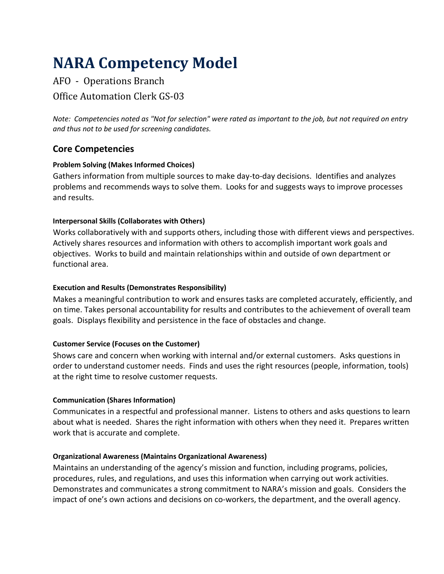# **NARA Competency Model**

# AFO - Operations Branch Office Automation Clerk GS-03

*Note: Competencies noted as "Not for selection" were rated as important to the job, but not required on entry and thus not to be used for screening candidates.*

## **Core Competencies**

#### **Problem Solving (Makes Informed Choices)**

Gathers information from multiple sources to make day-to-day decisions. Identifies and analyzes problems and recommends ways to solve them. Looks for and suggests ways to improve processes and results.

#### **Interpersonal Skills (Collaborates with Others)**

Works collaboratively with and supports others, including those with different views and perspectives. Actively shares resources and information with others to accomplish important work goals and objectives. Works to build and maintain relationships within and outside of own department or functional area.

#### **Execution and Results (Demonstrates Responsibility)**

Makes a meaningful contribution to work and ensures tasks are completed accurately, efficiently, and on time. Takes personal accountability for results and contributes to the achievement of overall team goals. Displays flexibility and persistence in the face of obstacles and change.

#### **Customer Service (Focuses on the Customer)**

Shows care and concern when working with internal and/or external customers. Asks questions in order to understand customer needs. Finds and uses the right resources (people, information, tools) at the right time to resolve customer requests.

#### **Communication (Shares Information)**

Communicates in a respectful and professional manner. Listens to others and asks questions to learn about what is needed. Shares the right information with others when they need it. Prepares written work that is accurate and complete.

#### **Organizational Awareness (Maintains Organizational Awareness)**

Maintains an understanding of the agency's mission and function, including programs, policies, procedures, rules, and regulations, and uses this information when carrying out work activities. Demonstrates and communicates a strong commitment to NARA's mission and goals. Considers the impact of one's own actions and decisions on co-workers, the department, and the overall agency.